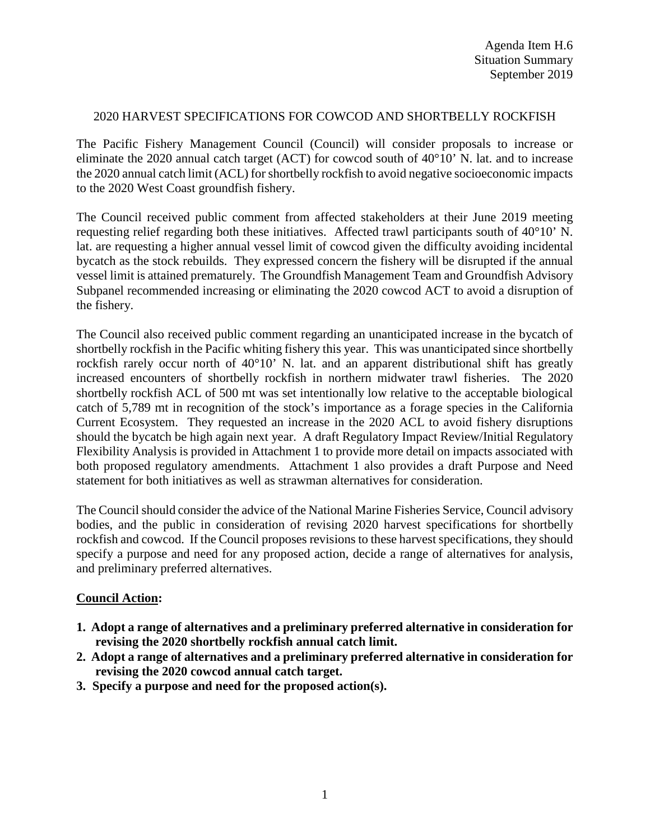## 2020 HARVEST SPECIFICATIONS FOR COWCOD AND SHORTBELLY ROCKFISH

The Pacific Fishery Management Council (Council) will consider proposals to increase or eliminate the 2020 annual catch target (ACT) for cowcod south of  $40^{\circ}10'$  N. lat. and to increase the 2020 annual catch limit (ACL) for shortbelly rockfish to avoid negative socioeconomic impacts to the 2020 West Coast groundfish fishery.

The Council received public comment from affected stakeholders at their June 2019 meeting requesting relief regarding both these initiatives. Affected trawl participants south of 40°10' N. lat. are requesting a higher annual vessel limit of cowcod given the difficulty avoiding incidental bycatch as the stock rebuilds. They expressed concern the fishery will be disrupted if the annual vessel limit is attained prematurely. The Groundfish Management Team and Groundfish Advisory Subpanel recommended increasing or eliminating the 2020 cowcod ACT to avoid a disruption of the fishery.

The Council also received public comment regarding an unanticipated increase in the bycatch of shortbelly rockfish in the Pacific whiting fishery this year. This was unanticipated since shortbelly rockfish rarely occur north of 40°10' N. lat. and an apparent distributional shift has greatly increased encounters of shortbelly rockfish in northern midwater trawl fisheries. The 2020 shortbelly rockfish ACL of 500 mt was set intentionally low relative to the acceptable biological catch of 5,789 mt in recognition of the stock's importance as a forage species in the California Current Ecosystem. They requested an increase in the 2020 ACL to avoid fishery disruptions should the bycatch be high again next year. A draft Regulatory Impact Review/Initial Regulatory Flexibility Analysis is provided in Attachment 1 to provide more detail on impacts associated with both proposed regulatory amendments. Attachment 1 also provides a draft Purpose and Need statement for both initiatives as well as strawman alternatives for consideration.

The Council should consider the advice of the National Marine Fisheries Service, Council advisory bodies, and the public in consideration of revising 2020 harvest specifications for shortbelly rockfish and cowcod. If the Council proposes revisions to these harvest specifications, they should specify a purpose and need for any proposed action, decide a range of alternatives for analysis, and preliminary preferred alternatives.

## **Council Action:**

- **1. Adopt a range of alternatives and a preliminary preferred alternative in consideration for revising the 2020 shortbelly rockfish annual catch limit.**
- **2. Adopt a range of alternatives and a preliminary preferred alternative in consideration for revising the 2020 cowcod annual catch target.**
- **3. Specify a purpose and need for the proposed action(s).**